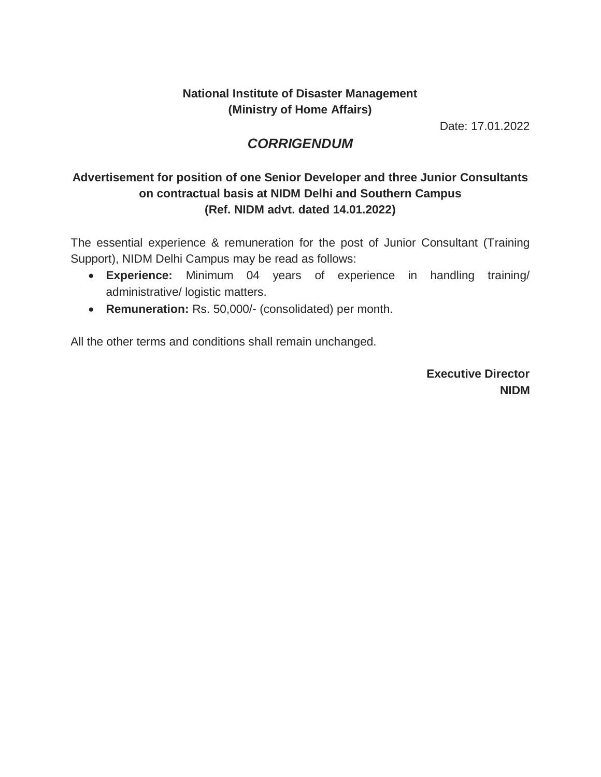# **National Institute of Disaster Management (Ministry of Home Affairs)**

Date: 17.01.2022

# *CORRIGENDUM*

# **Advertisement for position of one Senior Developer and three Junior Consultants on contractual basis at NIDM Delhi and Southern Campus (Ref. NIDM advt. dated 14.01.2022)**

The essential experience & remuneration for the post of Junior Consultant (Training Support), NIDM Delhi Campus may be read as follows:

- **Experience:** Minimum 04 years of experience in handling training/ administrative/ logistic matters.
- **Remuneration:** Rs. 50,000/- (consolidated) per month.

All the other terms and conditions shall remain unchanged.

**Executive Director NIDM**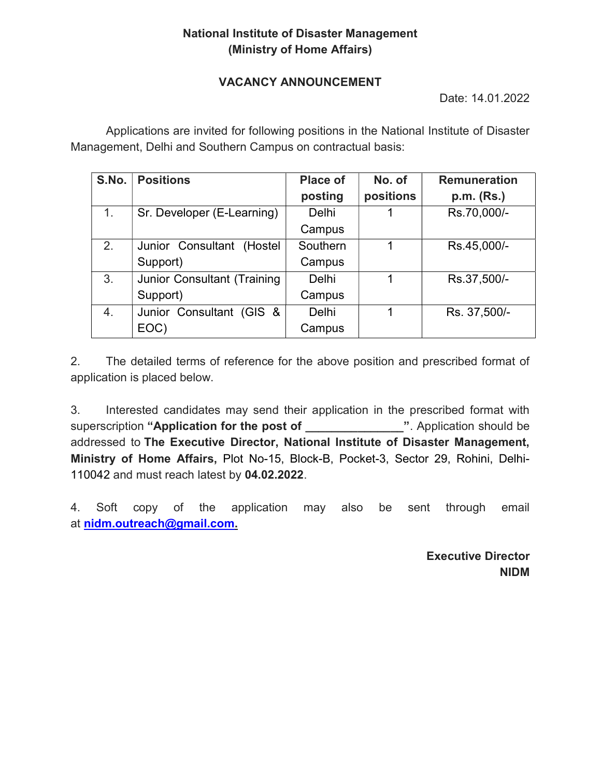# National Institute of Disaster Management (Ministry of Home Affairs)

### VACANCY ANNOUNCEMENT

Date: 14.01.2022

Applications are invited for following positions in the National Institute of Disaster Management, Delhi and Southern Campus on contractual basis:

| S.No.          | <b>Positions</b>                   | <b>Place of</b> | No. of    | <b>Remuneration</b> |
|----------------|------------------------------------|-----------------|-----------|---------------------|
|                |                                    | posting         | positions | p.m. (Rs.)          |
| 1 <sub>1</sub> | Sr. Developer (E-Learning)         | <b>Delhi</b>    |           | Rs.70,000/-         |
|                |                                    | Campus          |           |                     |
| 2.             | Junior Consultant (Hostel          | Southern        | 1         | Rs.45,000/-         |
|                | Support)                           | Campus          |           |                     |
| 3.             | <b>Junior Consultant (Training</b> | Delhi           | 1         | Rs.37,500/-         |
|                | Support)                           | Campus          |           |                     |
| 4.             | Junior Consultant (GIS &           | Delhi           |           | Rs. 37,500/-        |
|                | EOC)                               | Campus          |           |                     |

2. The detailed terms of reference for the above position and prescribed format of application is placed below.

3. Interested candidates may send their application in the prescribed format with superscription "Application for the post of The Manuson Muslim 2015. Application should be addressed to The Executive Director, National Institute of Disaster Management, Ministry of Home Affairs, Plot No-15, Block-B, Pocket-3, Sector 29, Rohini, Delhi-110042 and must reach latest by 04.02.2022.

4. Soft copy of the application may also be sent through email at nidm.outreach@gmail.com.

> Executive Director NIDM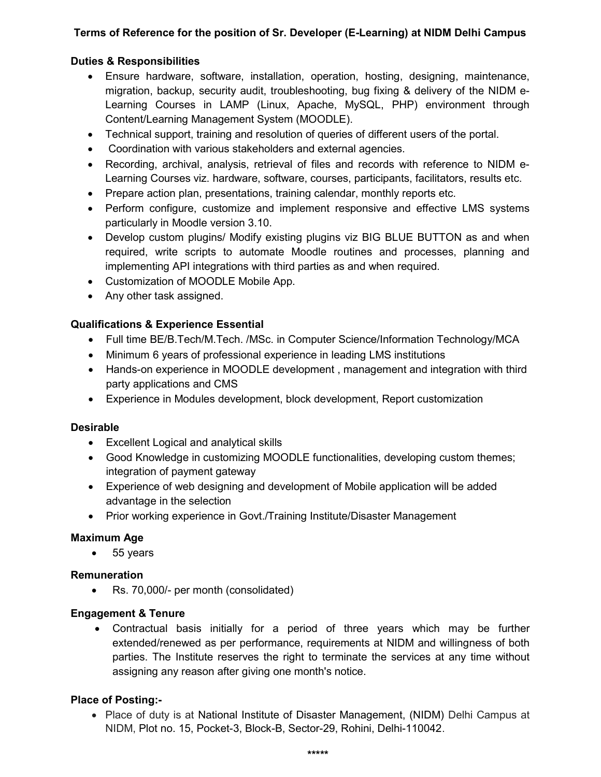#### Terms of Reference for the position of Sr. Developer (E-Learning) at NIDM Delhi Campus

#### Duties & Responsibilities

- Ensure hardware, software, installation, operation, hosting, designing, maintenance, migration, backup, security audit, troubleshooting, bug fixing & delivery of the NIDM e-Learning Courses in LAMP (Linux, Apache, MySQL, PHP) environment through Content/Learning Management System (MOODLE).
- Technical support, training and resolution of queries of different users of the portal.
- Coordination with various stakeholders and external agencies.
- Recording, archival, analysis, retrieval of files and records with reference to NIDM e-Learning Courses viz. hardware, software, courses, participants, facilitators, results etc.
- Prepare action plan, presentations, training calendar, monthly reports etc.
- Perform configure, customize and implement responsive and effective LMS systems particularly in Moodle version 3.10.
- Develop custom plugins/ Modify existing plugins viz BIG BLUE BUTTON as and when required, write scripts to automate Moodle routines and processes, planning and implementing API integrations with third parties as and when required.
- Customization of MOODLE Mobile App.
- Any other task assigned.

### Qualifications & Experience Essential

- Full time BE/B.Tech/M.Tech. /MSc. in Computer Science/Information Technology/MCA
- Minimum 6 years of professional experience in leading LMS institutions
- Hands-on experience in MOODLE development , management and integration with third party applications and CMS
- Experience in Modules development, block development, Report customization

#### Desirable

- Excellent Logical and analytical skills
- Good Knowledge in customizing MOODLE functionalities, developing custom themes; integration of payment gateway
- Experience of web designing and development of Mobile application will be added advantage in the selection
- Prior working experience in Govt./Training Institute/Disaster Management

#### Maximum Age

• 55 years

#### Remuneration

• Rs. 70,000/- per month (consolidated)

#### Engagement & Tenure

 Contractual basis initially for a period of three years which may be further extended/renewed as per performance, requirements at NIDM and willingness of both parties. The Institute reserves the right to terminate the services at any time without assigning any reason after giving one month's notice.

#### Place of Posting:-

• Place of duty is at National Institute of Disaster Management, (NIDM) Delhi Campus at NIDM, Plot no. 15, Pocket-3, Block-B, Sector-29, Rohini, Delhi-110042.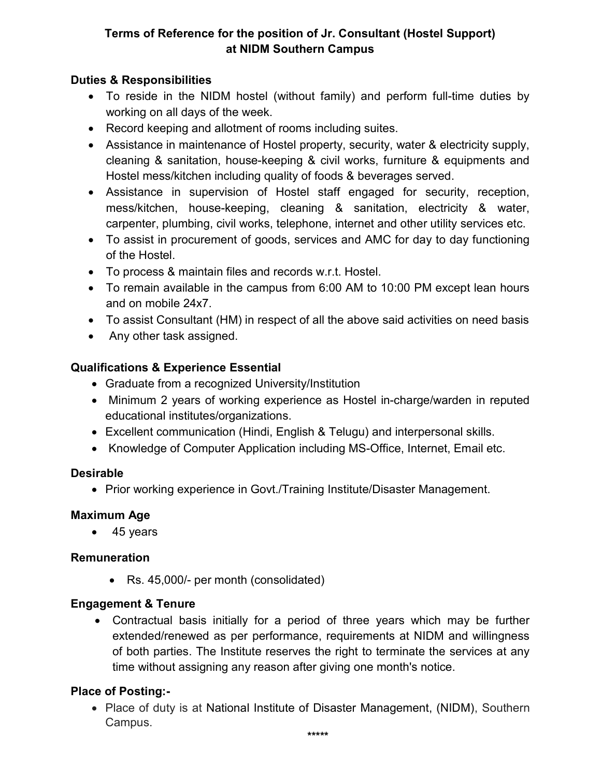# Terms of Reference for the position of Jr. Consultant (Hostel Support) at NIDM Southern Campus

## Duties & Responsibilities

- To reside in the NIDM hostel (without family) and perform full-time duties by working on all days of the week.
- Record keeping and allotment of rooms including suites.
- Assistance in maintenance of Hostel property, security, water & electricity supply, cleaning & sanitation, house-keeping & civil works, furniture & equipments and Hostel mess/kitchen including quality of foods & beverages served.
- Assistance in supervision of Hostel staff engaged for security, reception, mess/kitchen, house-keeping, cleaning & sanitation, electricity & water, carpenter, plumbing, civil works, telephone, internet and other utility services etc.
- To assist in procurement of goods, services and AMC for day to day functioning of the Hostel.
- To process & maintain files and records w.r.t. Hostel.
- To remain available in the campus from 6:00 AM to 10:00 PM except lean hours and on mobile 24x7.
- To assist Consultant (HM) in respect of all the above said activities on need basis
- Any other task assigned.

## Qualifications & Experience Essential

- Graduate from a recognized University/Institution
- Minimum 2 years of working experience as Hostel in-charge/warden in reputed educational institutes/organizations.
- Excellent communication (Hindi, English & Telugu) and interpersonal skills.
- Knowledge of Computer Application including MS-Office, Internet, Email etc.

## Desirable

• Prior working experience in Govt./Training Institute/Disaster Management.

## Maximum Age

• 45 years

## Remuneration

• Rs. 45,000/- per month (consolidated)

## Engagement & Tenure

 Contractual basis initially for a period of three years which may be further extended/renewed as per performance, requirements at NIDM and willingness of both parties. The Institute reserves the right to terminate the services at any time without assigning any reason after giving one month's notice.

# Place of Posting:-

• Place of duty is at National Institute of Disaster Management, (NIDM), Southern Campus.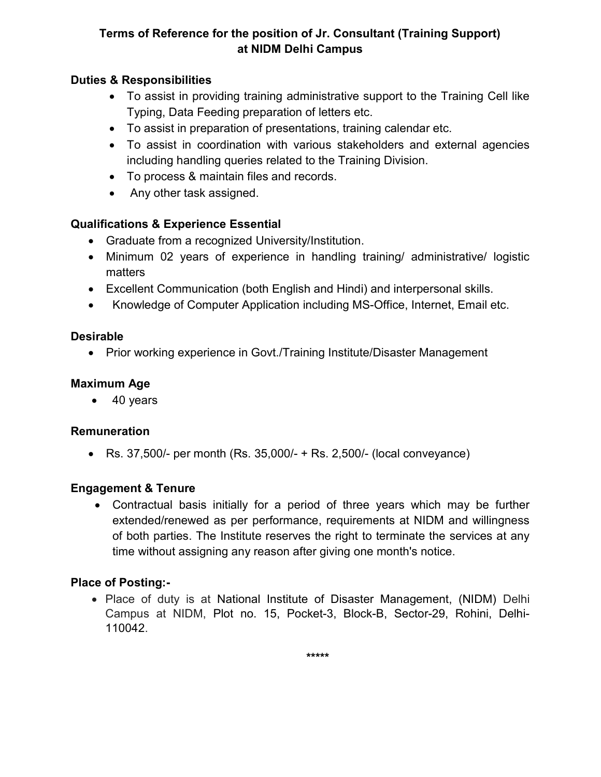# Terms of Reference for the position of Jr. Consultant (Training Support) at NIDM Delhi Campus

### Duties & Responsibilities

- To assist in providing training administrative support to the Training Cell like Typing, Data Feeding preparation of letters etc.
- To assist in preparation of presentations, training calendar etc.
- To assist in coordination with various stakeholders and external agencies including handling queries related to the Training Division.
- To process & maintain files and records.
- Any other task assigned.

## Qualifications & Experience Essential

- Graduate from a recognized University/Institution.
- Minimum 02 years of experience in handling training/ administrative/ logistic matters
- Excellent Communication (both English and Hindi) and interpersonal skills.
- Knowledge of Computer Application including MS-Office, Internet, Email etc.

### **Desirable**

• Prior working experience in Govt./Training Institute/Disaster Management

### Maximum Age

• 40 years

#### Remuneration

• Rs. 37,500/- per month (Rs. 35,000/-  $+$  Rs. 2,500/- (local conveyance)

## Engagement & Tenure

 Contractual basis initially for a period of three years which may be further extended/renewed as per performance, requirements at NIDM and willingness of both parties. The Institute reserves the right to terminate the services at any time without assigning any reason after giving one month's notice.

## Place of Posting:-

• Place of duty is at National Institute of Disaster Management, (NIDM) Delhi Campus at NIDM, Plot no. 15, Pocket-3, Block-B, Sector-29, Rohini, Delhi-110042.

\*\*\*\*\*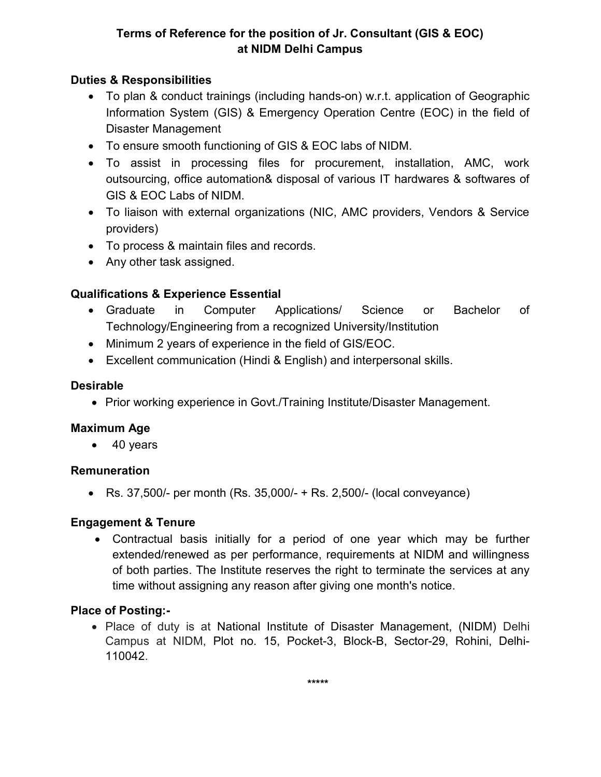# Terms of Reference for the position of Jr. Consultant (GIS & EOC) at NIDM Delhi Campus

### Duties & Responsibilities

- To plan & conduct trainings (including hands-on) w.r.t. application of Geographic Information System (GIS) & Emergency Operation Centre (EOC) in the field of Disaster Management
- To ensure smooth functioning of GIS & EOC labs of NIDM.
- To assist in processing files for procurement, installation, AMC, work outsourcing, office automation& disposal of various IT hardwares & softwares of GIS & EOC Labs of NIDM.
- To liaison with external organizations (NIC, AMC providers, Vendors & Service providers)
- To process & maintain files and records.
- Any other task assigned.

## Qualifications & Experience Essential

- Graduate in Computer Applications/ Science or Bachelor of Technology/Engineering from a recognized University/Institution
- Minimum 2 years of experience in the field of GIS/EOC.
- Excellent communication (Hindi & English) and interpersonal skills.

### Desirable

• Prior working experience in Govt./Training Institute/Disaster Management.

## Maximum Age

• 40 years

#### Remuneration

• Rs.  $37,500/$ - per month (Rs.  $35,000/$ - + Rs. 2,500/- (local conveyance)

#### Engagement & Tenure

 Contractual basis initially for a period of one year which may be further extended/renewed as per performance, requirements at NIDM and willingness of both parties. The Institute reserves the right to terminate the services at any time without assigning any reason after giving one month's notice.

#### Place of Posting:-

• Place of duty is at National Institute of Disaster Management, (NIDM) Delhi Campus at NIDM, Plot no. 15, Pocket-3, Block-B, Sector-29, Rohini, Delhi-110042.

\*\*\*\*\*